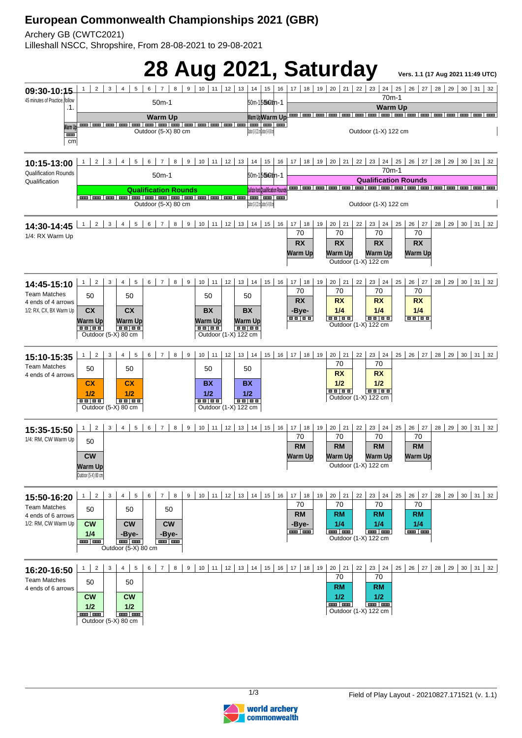## **European Commonwealth Championships 2021 (GBR)**

Archery GB (CWTC2021)

Lilleshall NSCC, Shropshire, From 28-08-2021 to 29-08-2021



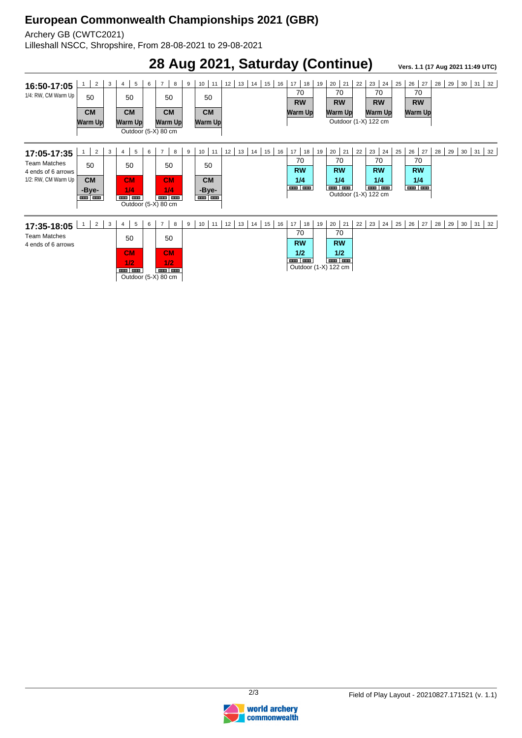## **European Commonwealth Championships 2021 (GBR)**

Archery GB (CWTC2021)

Lilleshall NSCC, Shropshire, From 28-08-2021 to 29-08-2021